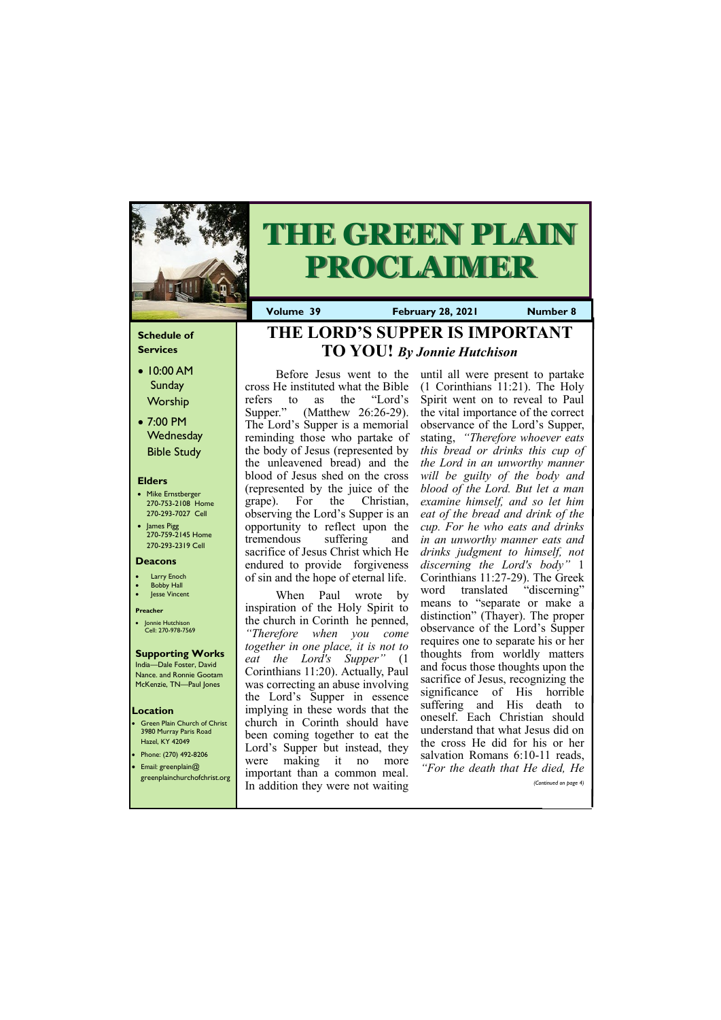### **Schedule of Services**

- 10:00 AM Sunday Worship
- 7:00 PM **Wednesday** Bible Study

### **Elders**

- Mike Ernstberger 270-753-2108 Home 270-293-7027 Cell
- James Pigg 270-759-2145 Home 270-293-2319 Cell

- **Green Plain Church of Christ** 3980 Murray Paris Road Hazel, KY 42049 • Phone: (270) 492-8206
- Email: greenplain@



# **THE GREEN PLAIN PROCLAIMER**

**Volume 39 February 28, 2021 Mumber 8** 

### **Location**

#### **Deacons**

- **Larry Enoch**
- **Bobby Hall**
- Jesse Vincent

#### **Preacher**

• Jonnie Hutchison Cell: 270-978-7569

### **Supporting Works**

India—Dale Foster, David Nance. and Ronnie Gootam McKenzie, TN—Paul Jones

Before Jesus went to the cross He instituted what the Bible refers to as the "Lord's Supper." (Matthew 26:26-29). The Lord's Supper is a memorial reminding those who partake of the body of Jesus (represented by the unleavened bread) and the blood of Jesus shed on the cross (represented by the juice of the grape). For the Christian, observing the Lord's Supper is an opportunity to reflect upon the tremendous suffering and sacrifice of Jesus Christ which He endured to provide forgiveness of sin and the hope of eternal life.

When Paul wrote by inspiration of the Holy Spirit to the church in Corinth he penned, *"Therefore when you come together in one place, it is not to eat the Lord's Supper"* (1 Corinthians 11:20). Actually, Paul was correcting an abuse involving the Lord's Supper in essence implying in these words that the church in Corinth should have been coming together to eat the Lord's Supper but instead, they were making it no more

| . .<br>$E[ I ]$ all. El eclipiallitu $U$<br>greenplainchurchofchrist.org | important than a common meal.<br>In addition they were not waiting | For the acain that the alca, the<br>(Continued on page 4) |
|--------------------------------------------------------------------------|--------------------------------------------------------------------|-----------------------------------------------------------|
|                                                                          |                                                                    |                                                           |

until all were present to partake (1 Corinthians 11:21). The Holy Spirit went on to reveal to Paul the vital importance of the correct observance of the Lord's Supper, stating, *"Therefore whoever eats this bread or drinks this cup of the Lord in an unworthy manner will be guilty of the body and blood of the Lord. But let a man examine himself, and so let him eat of the bread and drink of the cup. For he who eats and drinks in an unworthy manner eats and drinks judgment to himself, not discerning the Lord's body"* 1 Corinthians 11:27-29). The Greek word translated "discerning" means to "separate or make a distinction" (Thayer). The proper observance of the Lord's Supper requires one to separate his or her thoughts from worldly matters and focus those thoughts upon the sacrifice of Jesus, recognizing the significance of His horrible suffering and His death to oneself. Each Christian should understand that what Jesus did on the cross He did for his or her salvation Romans 6:10-11 reads, *"For the death that He died, He* 

# **THE LORD'S SUPPER IS IMPORTANT TO YOU!** *By Jonnie Hutchison*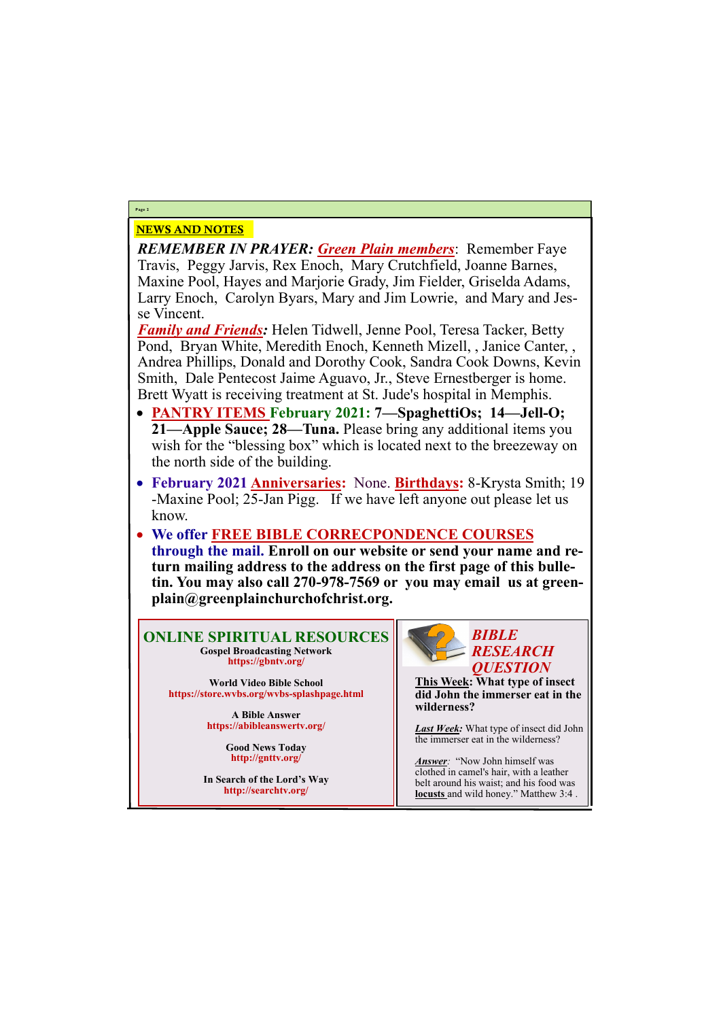# NEWS AND NOTES

*REMEMBER IN PRAYER: Green Plain members*: Remember Faye Travis, Peggy Jarvis, Rex Enoch, Mary Crutchfield, Joanne Barnes, Maxine Pool, Hayes and Marjorie Grady, Jim Fielder, Griselda Adams, Larry Enoch, Carolyn Byars, Mary and Jim Lowrie, and Mary and Jesse Vincent.

*Family and Friends:* Helen Tidwell, Jenne Pool, Teresa Tacker, Betty Pond, Bryan White, Meredith Enoch, Kenneth Mizell, , Janice Canter, , Andrea Phillips, Donald and Dorothy Cook, Sandra Cook Downs, Kevin Smith, Dale Pentecost Jaime Aguavo, Jr., Steve Ernestberger is home. Brett Wyatt is receiving treatment at St. Jude's hospital in Memphis.

- **PANTRY ITEMS February 2021: 7—SpaghettiOs; 14—Jell-O; 21—Apple Sauce; 28—Tuna.** Please bring any additional items you wish for the "blessing box" which is located next to the breezeway on the north side of the building.
- **February 2021 Anniversaries:** None. **Birthdays:** 8-Krysta Smith; 19 -Maxine Pool; 25-Jan Pigg. If we have left anyone out please let us know.
- **We offer FREE BIBLE CORRECPONDENCE COURSES through the mail. Enroll on our website or send your name and return mailing address to the address on the first page of this bulletin. You may also call 270-978-7569 or you may email us at greenplain@greenplainchurchofchrist.org.**

**Page 2**

**ONLINE SPIRITUAL RESOURCES Gospel Broadcasting Network https://gbntv.org/**

**World Video Bible School https://store.wvbs.org/wvbs-splashpage.html**

> **A Bible Answer https://abibleanswertv.org/**

> > **Good News Today http://gnttv.org/**

**In Search of the Lord's Way http://searchtv.org/**



**This Week: What type of insect did John the immerser eat in the wilderness?**

*Last Week:* What type of insect did John the immerser eat in the wilderness?

*Answer:* "Now John himself was clothed in camel's hair, with a leather belt around his waist; and his food was **locusts** and wild honey." Matthew 3:4 .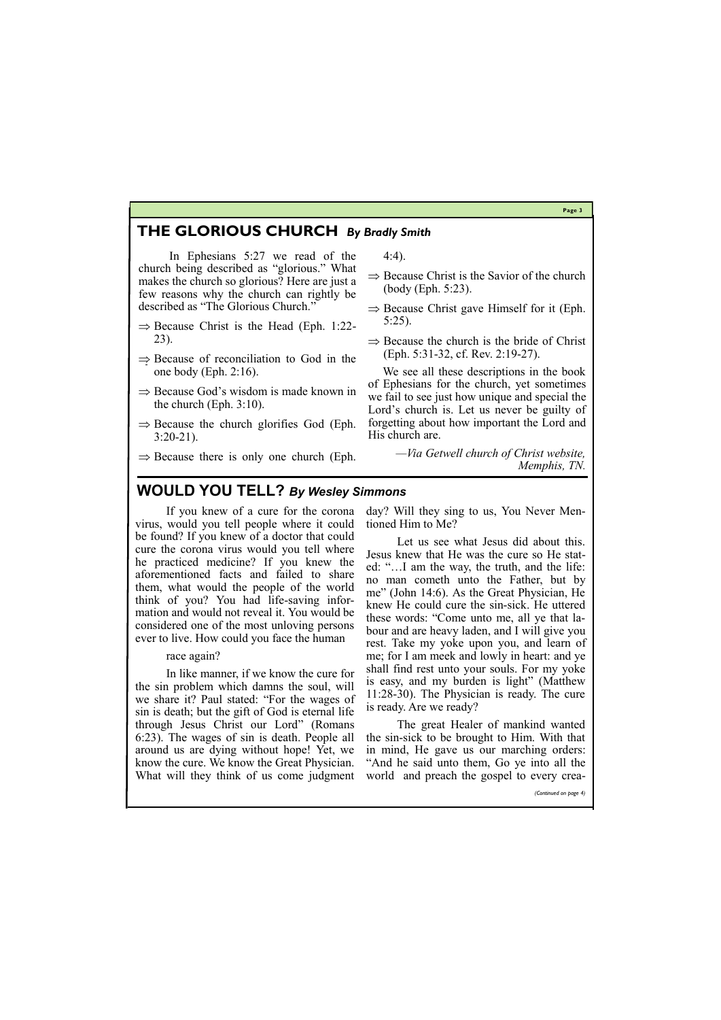**Page 3**

### **THE GLORIOUS CHURCH** *By Bradly Smith*

In Ephesians 5:27 we read of the church being described as "glorious." What makes the church so glorious? Here are just a few reasons why the church can rightly be described as "The Glorious Church."

- $\Rightarrow$  Because Christ is the Head (Eph. 1:22-23).
- $\Rightarrow$  Because of reconciliation to God in the one body (Eph. 2:16).
- $\Rightarrow$  Because God's wisdom is made known in the church (Eph. 3:10).
- $\Rightarrow$  Because the church glorifies God (Eph. 3:20-21).
- $\Rightarrow$  Because there is only one church (Eph.
- $\Rightarrow$  Because Christ is the Savior of the church (body (Eph. 5:23).
- $\Rightarrow$  Because Christ gave Himself for it (Eph. 5:25).
- $\Rightarrow$  Because the church is the bride of Christ (Eph. 5:31-32, cf. Rev. 2:19-27).

4:4).

 We see all these descriptions in the book of Ephesians for the church, yet sometimes we fail to see just how unique and special the Lord's church is. Let us never be guilty of forgetting about how important the Lord and His church are.

> *—Via Getwell church of Christ website, Memphis, TN.*

If you knew of a cure for the corona virus, would you tell people where it could be found? If you knew of a doctor that could cure the corona virus would you tell where he practiced medicine? If you knew the aforementioned facts and failed to share them, what would the people of the world think of you? You had life-saving information and would not reveal it. You would be considered one of the most unloving persons ever to live. How could you face the human

### race again?

In like manner, if we know the cure for the sin problem which damns the soul, will we share it? Paul stated: "For the wages of sin is death; but the gift of God is eternal life through Jesus Christ our Lord" (Romans 6:23). The wages of sin is death. People all around us are dying without hope! Yet, we know the cure. We know the Great Physician.

day? Will they sing to us, You Never Mentioned Him to Me?

Let us see what Jesus did about this. Jesus knew that He was the cure so He stated: "…I am the way, the truth, and the life: no man cometh unto the Father, but by me" (John 14:6). As the Great Physician, He knew He could cure the sin-sick. He uttered these words: "Come unto me, all ye that labour and are heavy laden, and I will give you rest. Take my yoke upon you, and learn of me; for I am meek and lowly in heart: and ye shall find rest unto your souls. For my yoke is easy, and my burden is light" (Matthew 11:28-30). The Physician is ready. The cure is ready. Are we ready?

What will they think of us come judgment world and preach the gospel to every crea-

The great Healer of mankind wanted the sin-sick to be brought to Him. With that in mind, He gave us our marching orders: "And he said unto them, Go ye into all the

*(Continued on page 4)*

# **WOULD YOU TELL?** *By Wesley Simmons*